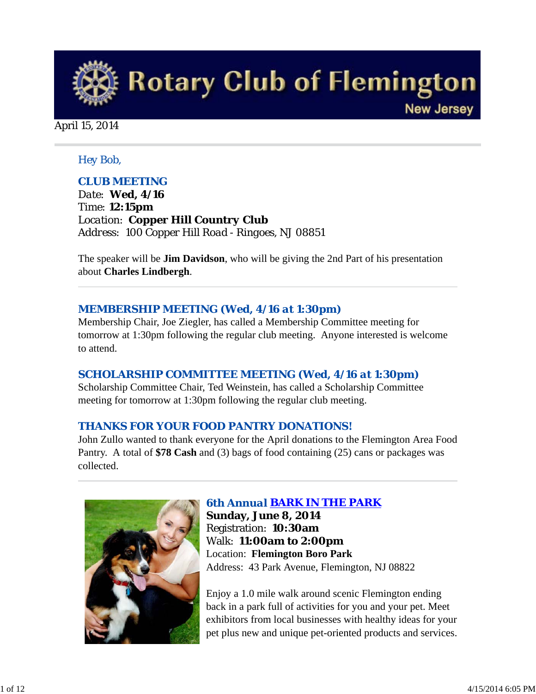

April 15, 2014

### *Hey Bob,*

## *CLUB MEETING*

*Date: Wed, 4/16 Time: 12:15pm Location: Copper Hill Country Club Address: 100 Copper Hill Road - Ringoes, NJ 08851*

The speaker will be **Jim Davidson**, who will be giving the 2nd Part of his presentation about **Charles Lindbergh**.

### *MEMBERSHIP MEETING (Wed, 4/16 at 1:30pm***)**

Membership Chair, Joe Ziegler, has called a Membership Committee meeting for tomorrow at 1:30pm following the regular club meeting. Anyone interested is welcome to attend.

## *SCHOLARSHIP COMMITTEE MEETING (Wed, 4/16 at 1:30pm)*

Scholarship Committee Chair, Ted Weinstein, has called a Scholarship Committee meeting for tomorrow at 1:30pm following the regular club meeting.

## *THANKS FOR YOUR FOOD PANTRY DONATIONS!*

John Zullo wanted to thank everyone for the April donations to the Flemington Area Food Pantry. A total of **\$78 Cash** and (3) bags of food containing (25) cans or packages was collected.



## *6th Annual BARK IN THE PARK*

**Sunday, June 8, 2014** Registration: **10:30am** Walk: **11:00am to 2:00pm** Location: **Flemington Boro Park** Address: 43 Park Avenue, Flemington, NJ 08822

Enjoy a 1.0 mile walk around scenic Flemington ending back in a park full of activities for you and your pet. Meet exhibitors from local businesses with healthy ideas for your pet plus new and unique pet-oriented products and services.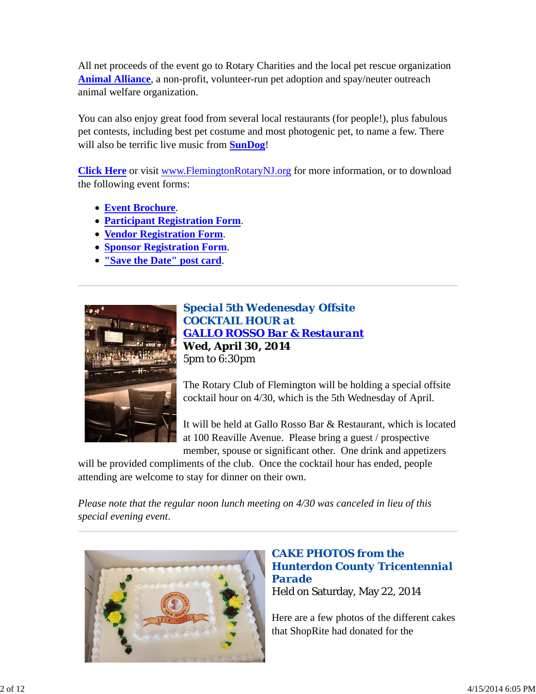All net proceeds of the event go to Rotary Charities and the local pet rescue organization **Animal Alliance**, a non-profit, volunteer-run pet adoption and spay/neuter outreach animal welfare organization.

You can also enjoy great food from several local restaurants (for people!), plus fabulous pet contests, including best pet costume and most photogenic pet, to name a few. There will also be terrific live music from **SunDog**!

**Click Here** or visit www.FlemingtonRotaryNJ.org for more information, or to download the following event forms:

- **Event Brochure**.
- **Participant Registration Form**.
- **Vendor Registration Form**.
- **Sponsor Registration Form**.
- **"Save the Date" post card**.



*Special 5th Wedenesday Offsite COCKTAIL HOUR at GALLO ROSSO Bar & Restaurant* **Wed, April 30, 2014** 5pm to 6:30pm

The Rotary Club of Flemington will be holding a special offsite cocktail hour on 4/30, which is the 5th Wednesday of April.

It will be held at Gallo Rosso Bar & Restaurant, which is located at 100 Reaville Avenue. Please bring a guest / prospective member, spouse or significant other. One drink and appetizers

will be provided compliments of the club. Once the cocktail hour has ended, people attending are welcome to stay for dinner on their own.

*Please note that the regular noon lunch meeting on 4/30 was canceled in lieu of this special evening event*.



## *CAKE PHOTOS from the Hunterdon County Tricentennial Parade* Held on Saturday, May 22, 2014

Here are a few photos of the different cakes that ShopRite had donated for the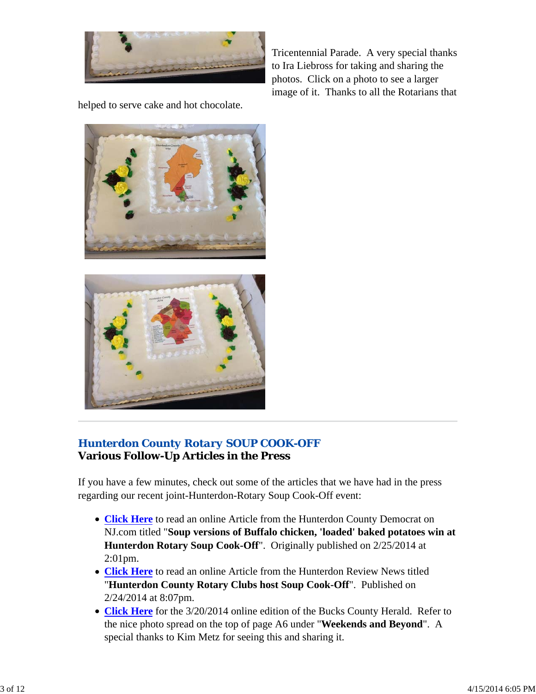

Tricentennial Parade. A very special thanks to Ira Liebross for taking and sharing the photos. Click on a photo to see a larger image of it. Thanks to all the Rotarians that

helped to serve cake and hot chocolate.





## *Hunterdon County Rotary SOUP COOK-OFF* **Various Follow-Up Articles in the Press**

If you have a few minutes, check out some of the articles that we have had in the press regarding our recent joint-Hunterdon-Rotary Soup Cook-Off event:

- **Click Here** to read an online Article from the Hunterdon County Democrat on NJ.com titled "**Soup versions of Buffalo chicken, 'loaded' baked potatoes win at Hunterdon Rotary Soup Cook-Off**". Originally published on 2/25/2014 at 2:01pm.
- **Click Here** to read an online Article from the Hunterdon Review News titled "**Hunterdon County Rotary Clubs host Soup Cook-Off**". Published on 2/24/2014 at 8:07pm.
- **Click Here** for the 3/20/2014 online edition of the Bucks County Herald. Refer to the nice photo spread on the top of page A6 under "**Weekends and Beyond**". A special thanks to Kim Metz for seeing this and sharing it.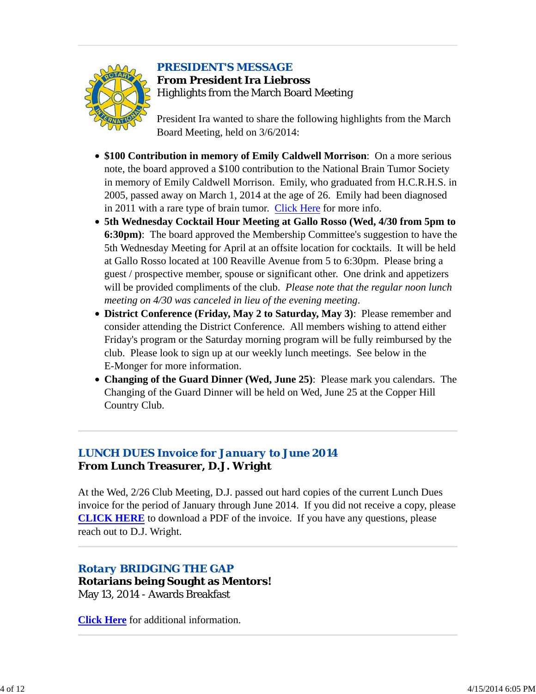

## *PRESIDENT'S MESSAGE*

**From President Ira Liebross** Highlights from the March Board Meeting

President Ira wanted to share the following highlights from the March Board Meeting, held on 3/6/2014:

- **\$100 Contribution in memory of Emily Caldwell Morrison**: On a more serious note, the board approved a \$100 contribution to the National Brain Tumor Society in memory of Emily Caldwell Morrison. Emily, who graduated from H.C.R.H.S. in 2005, passed away on March 1, 2014 at the age of 26. Emily had been diagnosed in 2011 with a rare type of brain tumor. Click Here for more info.
- **5th Wednesday Cocktail Hour Meeting at Gallo Rosso (Wed, 4/30 from 5pm to 6:30pm)**: The board approved the Membership Committee's suggestion to have the 5th Wednesday Meeting for April at an offsite location for cocktails. It will be held at Gallo Rosso located at 100 Reaville Avenue from 5 to 6:30pm. Please bring a guest / prospective member, spouse or significant other. One drink and appetizers will be provided compliments of the club. *Please note that the regular noon lunch meeting on 4/30 was canceled in lieu of the evening meeting*.
- **District Conference (Friday, May 2 to Saturday, May 3)**: Please remember and consider attending the District Conference. All members wishing to attend either Friday's program or the Saturday morning program will be fully reimbursed by the club. Please look to sign up at our weekly lunch meetings. See below in the E-Monger for more information.
- **Changing of the Guard Dinner (Wed, June 25)**: Please mark you calendars. The Changing of the Guard Dinner will be held on Wed, June 25 at the Copper Hill Country Club.

## *LUNCH DUES Invoice for January to June 2014* **From Lunch Treasurer, D.J. Wright**

At the Wed, 2/26 Club Meeting, D.J. passed out hard copies of the current Lunch Dues invoice for the period of January through June 2014. If you did not receive a copy, please **CLICK HERE** to download a PDF of the invoice. If you have any questions, please reach out to D.J. Wright.

## *Rotary BRIDGING THE GAP*

**Rotarians being Sought as Mentors!** May 13, 2014 - Awards Breakfast

**Click Here** for additional information.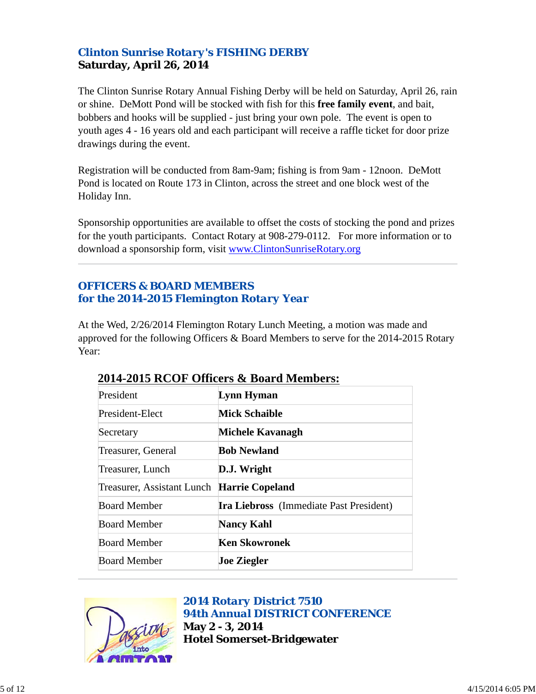## *Clinton Sunrise Rotary's FISHING DERBY* **Saturday, April 26, 2014**

The Clinton Sunrise Rotary Annual Fishing Derby will be held on Saturday, April 26, rain or shine. DeMott Pond will be stocked with fish for this **free family event**, and bait, bobbers and hooks will be supplied - just bring your own pole. The event is open to youth ages 4 - 16 years old and each participant will receive a raffle ticket for door prize drawings during the event.

Registration will be conducted from 8am-9am; fishing is from 9am - 12noon. DeMott Pond is located on Route 173 in Clinton, across the street and one block west of the Holiday Inn.

Sponsorship opportunities are available to offset the costs of stocking the pond and prizes for the youth participants. Contact Rotary at 908-279-0112. For more information or to download a sponsorship form, visit www.ClintonSunriseRotary.org

## *OFFICERS & BOARD MEMBERS for the 2014-2015 Flemington Rotary Year*

At the Wed, 2/26/2014 Flemington Rotary Lunch Meeting, a motion was made and approved for the following Officers & Board Members to serve for the 2014-2015 Rotary Year:

| President                                  | Lynn Hyman                                     |
|--------------------------------------------|------------------------------------------------|
| President-Elect                            | <b>Mick Schaible</b>                           |
| Secretary                                  | Michele Kavanagh                               |
| Treasurer, General                         | <b>Bob Newland</b>                             |
| Treasurer, Lunch                           | D.J. Wright                                    |
| Treasurer, Assistant Lunch Harrie Copeland |                                                |
| <b>Board Member</b>                        | <b>Ira Liebross</b> (Immediate Past President) |
| <b>Board Member</b>                        | <b>Nancy Kahl</b>                              |
| <b>Board Member</b>                        | <b>Ken Skowronek</b>                           |
| <b>Board Member</b>                        | <b>Joe Ziegler</b>                             |

## **2014-2015 RCOF Officers & Board Members:**



*2014 Rotary District 7510 94th Annual DISTRICT CONFERENCE* **May 2 - 3, 2014 Hotel Somerset-Bridgewater**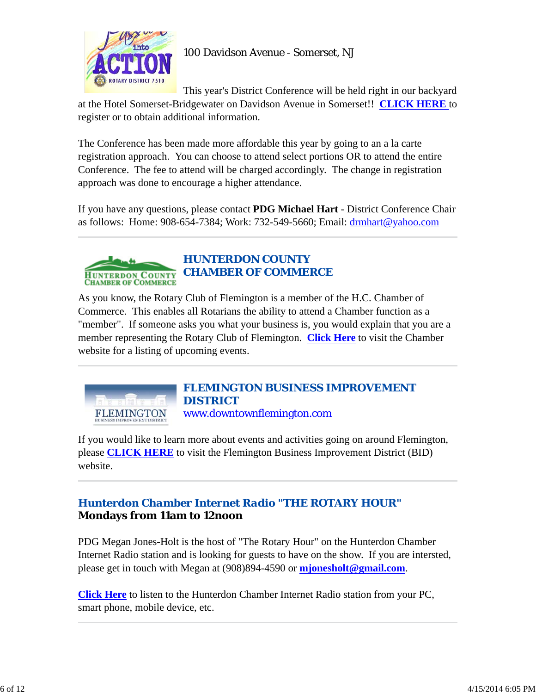

This year's District Conference will be held right in our backyard

at the Hotel Somerset-Bridgewater on Davidson Avenue in Somerset!! **CLICK HERE** to register or to obtain additional information.

The Conference has been made more affordable this year by going to an a la carte registration approach. You can choose to attend select portions OR to attend the entire Conference. The fee to attend will be charged accordingly. The change in registration approach was done to encourage a higher attendance.

If you have any questions, please contact **PDG Michael Hart** - District Conference Chair as follows: Home: 908-654-7384; Work: 732-549-5660; Email: drmhart@yahoo.com



As you know, the Rotary Club of Flemington is a member of the H.C. Chamber of Commerce. This enables all Rotarians the ability to attend a Chamber function as a "member". If someone asks you what your business is, you would explain that you are a member representing the Rotary Club of Flemington. **Click Here** to visit the Chamber website for a listing of upcoming events.



*FLEMINGTON BUSINESS IMPROVEMENT DISTRICT* www.downtownflemington.com

If you would like to learn more about events and activities going on around Flemington, please **CLICK HERE** to visit the Flemington Business Improvement District (BID) website.

## *Hunterdon Chamber Internet Radio "THE ROTARY HOUR"* **Mondays from 11am to 12noon**

PDG Megan Jones-Holt is the host of "The Rotary Hour" on the Hunterdon Chamber Internet Radio station and is looking for guests to have on the show. If you are intersted, please get in touch with Megan at (908)894-4590 or **mjonesholt@gmail.com**.

**Click Here** to listen to the Hunterdon Chamber Internet Radio station from your PC, smart phone, mobile device, etc.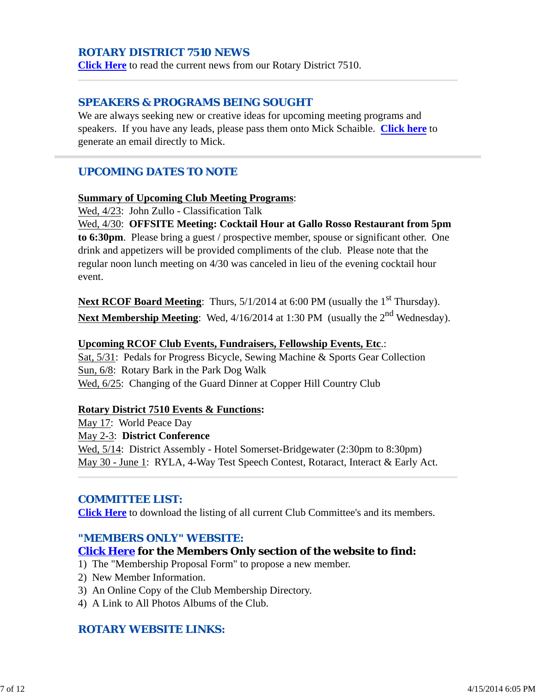## *ROTARY DISTRICT 7510 NEWS*

**Click Here** to read the current news from our Rotary District 7510.

### *SPEAKERS & PROGRAMS BEING SOUGHT*

We are always seeking new or creative ideas for upcoming meeting programs and speakers. If you have any leads, please pass them onto Mick Schaible. **Click here** to generate an email directly to Mick.

## *UPCOMING DATES TO NOTE*

#### **Summary of Upcoming Club Meeting Programs**:

Wed, 4/23: John Zullo - Classification Talk

Wed, 4/30: **OFFSITE Meeting: Cocktail Hour at Gallo Rosso Restaurant from 5pm to 6:30pm**. Please bring a guest / prospective member, spouse or significant other. One drink and appetizers will be provided compliments of the club. Please note that the regular noon lunch meeting on 4/30 was canceled in lieu of the evening cocktail hour event.

**Next RCOF Board Meeting:** Thurs,  $5/1/2014$  at 6:00 PM (usually the 1<sup>st</sup> Thursday). Next Membership Meeting: Wed, 4/16/2014 at 1:30 PM (usually the 2<sup>nd</sup> Wednesday).

#### **Upcoming RCOF Club Events, Fundraisers, Fellowship Events, Etc**.:

Sat, 5/31: Pedals for Progress Bicycle, Sewing Machine & Sports Gear Collection Sun, 6/8: Rotary Bark in the Park Dog Walk Wed, 6/25: Changing of the Guard Dinner at Copper Hill Country Club

#### **Rotary District 7510 Events & Functions:**

May 17: World Peace Day May 2-3: **District Conference** Wed, 5/14: District Assembly - Hotel Somerset-Bridgewater (2:30pm to 8:30pm) May 30 - June 1: RYLA, 4-Way Test Speech Contest, Rotaract, Interact & Early Act.

### *COMMITTEE LIST:*

**Click Here** to download the listing of all current Club Committee's and its members.

### *"MEMBERS ONLY" WEBSITE:*

### **Click Here for the Members Only section of the website to find:**

- 1) The "Membership Proposal Form" to propose a new member.
- 2) New Member Information.
- 3) An Online Copy of the Club Membership Directory.
- 4) A Link to All Photos Albums of the Club.

## *ROTARY WEBSITE LINKS:*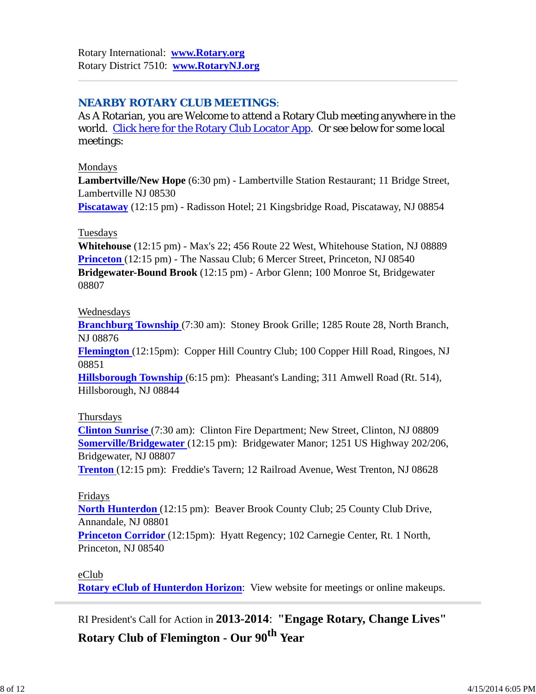## *NEARBY ROTARY CLUB MEETINGS:*

As A Rotarian, you are Welcome to attend a Rotary Club meeting anywhere in the world. Click here for the Rotary Club Locator App. Or see below for some local meetings:

### Mondays

**Lambertville/New Hope** (6:30 pm) - Lambertville Station Restaurant; 11 Bridge Street, Lambertville NJ 08530

**Piscataway** (12:15 pm) - Radisson Hotel; 21 Kingsbridge Road, Piscataway, NJ 08854

## Tuesdays

**Whitehouse** (12:15 pm) - Max's 22; 456 Route 22 West, Whitehouse Station, NJ 08889 **Princeton** (12:15 pm) - The Nassau Club; 6 Mercer Street, Princeton, NJ 08540 **Bridgewater-Bound Brook** (12:15 pm) - Arbor Glenn; 100 Monroe St, Bridgewater 08807

### Wednesdays

**Branchburg Township** (7:30 am): Stoney Brook Grille; 1285 Route 28, North Branch, NJ 08876

**Flemington** (12:15pm): Copper Hill Country Club; 100 Copper Hill Road, Ringoes, NJ 08851

**Hillsborough Township** (6:15 pm): Pheasant's Landing; 311 Amwell Road (Rt. 514), Hillsborough, NJ 08844

## Thursdays

**Clinton Sunrise** (7:30 am): Clinton Fire Department; New Street, Clinton, NJ 08809 **Somerville/Bridgewater** (12:15 pm): Bridgewater Manor; 1251 US Highway 202/206, Bridgewater, NJ 08807

**Trenton** (12:15 pm): Freddie's Tavern; 12 Railroad Avenue, West Trenton, NJ 08628

## Fridays

**North Hunterdon** (12:15 pm): Beaver Brook County Club; 25 County Club Drive, Annandale, NJ 08801

**Princeton Corridor** (12:15pm): Hyatt Regency; 102 Carnegie Center, Rt. 1 North, Princeton, NJ 08540

## eClub

**Rotary eClub of Hunterdon Horizon**: View website for meetings or online makeups.

RI President's Call for Action in **2013-2014**: **"Engage Rotary, Change Lives"**

**Rotary Club of Flemington - Our 90th Year**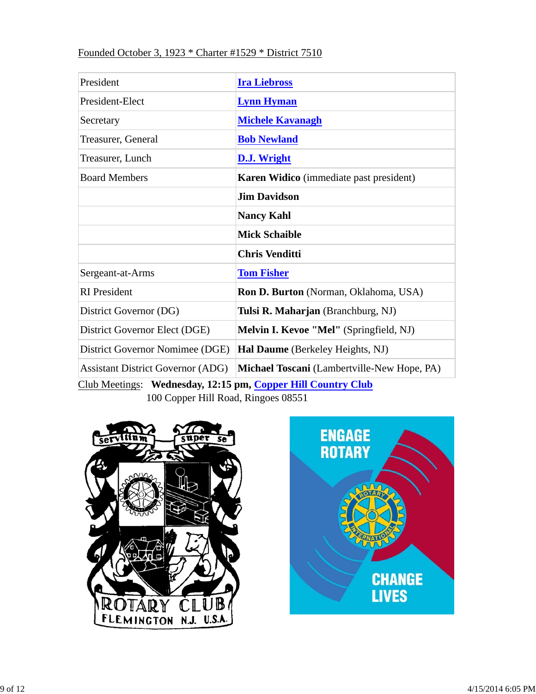## Founded October 3, 1923 \* Charter #1529 \* District 7510

| President                                | <b>Ira Liebross</b>                            |  |  |
|------------------------------------------|------------------------------------------------|--|--|
| President-Elect                          | <b>Lynn Hyman</b>                              |  |  |
| Secretary                                | <b>Michele Kavanagh</b>                        |  |  |
| Treasurer, General                       | <b>Bob Newland</b>                             |  |  |
| Treasurer, Lunch                         | <b>D.J. Wright</b>                             |  |  |
| <b>Board Members</b>                     | <b>Karen Widico</b> (immediate past president) |  |  |
|                                          | <b>Jim Davidson</b>                            |  |  |
|                                          | <b>Nancy Kahl</b>                              |  |  |
|                                          | <b>Mick Schaible</b>                           |  |  |
|                                          | <b>Chris Venditti</b>                          |  |  |
| Sergeant-at-Arms                         | <b>Tom Fisher</b>                              |  |  |
| <b>RI</b> President                      | Ron D. Burton (Norman, Oklahoma, USA)          |  |  |
| District Governor (DG)                   | Tulsi R. Maharjan (Branchburg, NJ)             |  |  |
| District Governor Elect (DGE)            | <b>Melvin I. Kevoe "Mel"</b> (Springfield, NJ) |  |  |
| District Governor Nomimee (DGE)          | Hal Daume (Berkeley Heights, NJ)               |  |  |
| <b>Assistant District Governor (ADG)</b> | Michael Toscani (Lambertville-New Hope, PA)    |  |  |

Club Meetings: **Wednesday, 12:15 pm, Copper Hill Country Club** 100 Copper Hill Road, Ringoes 08551



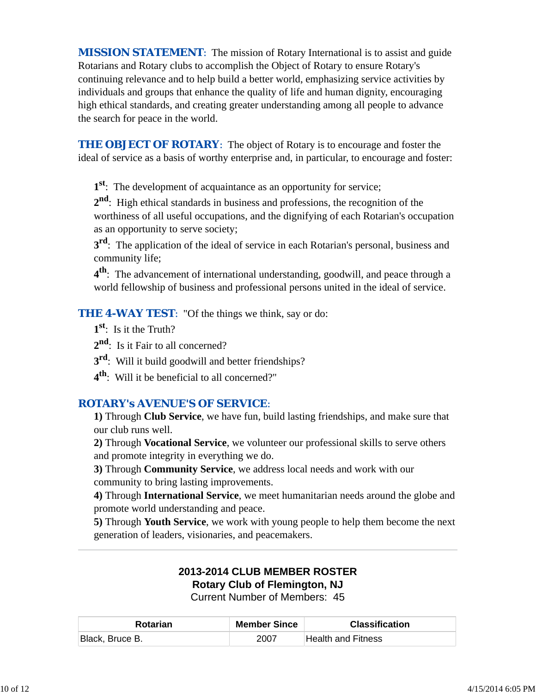*MISSION STATEMENT*: The mission of Rotary International is to assist and guide Rotarians and Rotary clubs to accomplish the Object of Rotary to ensure Rotary's continuing relevance and to help build a better world, emphasizing service activities by individuals and groups that enhance the quality of life and human dignity, encouraging high ethical standards, and creating greater understanding among all people to advance the search for peace in the world.

**THE OBJECT OF ROTARY:** The object of Rotary is to encourage and foster the ideal of service as a basis of worthy enterprise and, in particular, to encourage and foster:

**1st**: The development of acquaintance as an opportunity for service;

**2nd**: High ethical standards in business and professions, the recognition of the worthiness of all useful occupations, and the dignifying of each Rotarian's occupation as an opportunity to serve society;

**3rd**: The application of the ideal of service in each Rotarian's personal, business and community life;

**4th**: The advancement of international understanding, goodwill, and peace through a world fellowship of business and professional persons united in the ideal of service.

**THE 4-WAY TEST:** "Of the things we think, say or do:

- **1st**: Is it the Truth?
- 2<sup>nd</sup>: Is it Fair to all concerned?
- **3rd**: Will it build goodwill and better friendships?
- **4th**: Will it be beneficial to all concerned?"

## *ROTARY's AVENUE'S OF SERVICE*:

**1)** Through **Club Service**, we have fun, build lasting friendships, and make sure that our club runs well.

**2)** Through **Vocational Service**, we volunteer our professional skills to serve others and promote integrity in everything we do.

**3)** Through **Community Service**, we address local needs and work with our community to bring lasting improvements.

**4)** Through **International Service**, we meet humanitarian needs around the globe and promote world understanding and peace.

**5)** Through **Youth Service**, we work with young people to help them become the next generation of leaders, visionaries, and peacemakers.

# **2013-2014 CLUB MEMBER ROSTER Rotary Club of Flemington, NJ**

Current Number of Members: 45

| <b>Rotarian</b> | <b>Member Since</b> | <b>Classification</b> |
|-----------------|---------------------|-----------------------|
| Black, Bruce B. | 2007                | lHealth and Fitness   |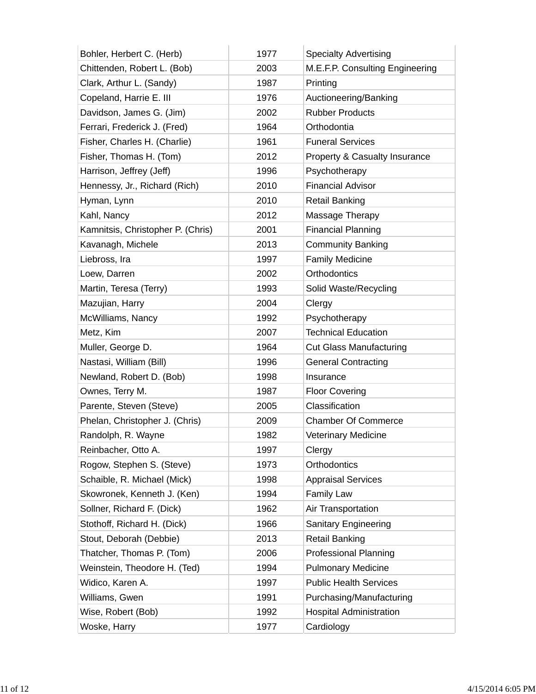| Bohler, Herbert C. (Herb)         | 1977 | <b>Specialty Advertising</b>    |
|-----------------------------------|------|---------------------------------|
| Chittenden, Robert L. (Bob)       | 2003 | M.E.F.P. Consulting Engineering |
| Clark, Arthur L. (Sandy)          | 1987 | Printing                        |
| Copeland, Harrie E. III           | 1976 | Auctioneering/Banking           |
| Davidson, James G. (Jim)          | 2002 | <b>Rubber Products</b>          |
| Ferrari, Frederick J. (Fred)      | 1964 | Orthodontia                     |
| Fisher, Charles H. (Charlie)      | 1961 | <b>Funeral Services</b>         |
| Fisher, Thomas H. (Tom)           | 2012 | Property & Casualty Insurance   |
| Harrison, Jeffrey (Jeff)          | 1996 | Psychotherapy                   |
| Hennessy, Jr., Richard (Rich)     | 2010 | <b>Financial Advisor</b>        |
| Hyman, Lynn                       | 2010 | <b>Retail Banking</b>           |
| Kahl, Nancy                       | 2012 | Massage Therapy                 |
| Kamnitsis, Christopher P. (Chris) | 2001 | <b>Financial Planning</b>       |
| Kavanagh, Michele                 | 2013 | <b>Community Banking</b>        |
| Liebross, Ira                     | 1997 | <b>Family Medicine</b>          |
| Loew, Darren                      | 2002 | <b>Orthodontics</b>             |
| Martin, Teresa (Terry)            | 1993 | Solid Waste/Recycling           |
| Mazujian, Harry                   | 2004 | Clergy                          |
| McWilliams, Nancy                 | 1992 | Psychotherapy                   |
| Metz, Kim                         | 2007 | <b>Technical Education</b>      |
| Muller, George D.                 | 1964 | <b>Cut Glass Manufacturing</b>  |
| Nastasi, William (Bill)           | 1996 | <b>General Contracting</b>      |
| Newland, Robert D. (Bob)          | 1998 | Insurance                       |
| Ownes, Terry M.                   | 1987 | <b>Floor Covering</b>           |
| Parente, Steven (Steve)           | 2005 | Classification                  |
| Phelan, Christopher J. (Chris)    | 2009 | <b>Chamber Of Commerce</b>      |
| Randolph, R. Wayne                | 1982 | Veterinary Medicine             |
| Reinbacher, Otto A.               | 1997 | Clergy                          |
| Rogow, Stephen S. (Steve)         | 1973 | <b>Orthodontics</b>             |
| Schaible, R. Michael (Mick)       | 1998 | <b>Appraisal Services</b>       |
| Skowronek, Kenneth J. (Ken)       | 1994 | <b>Family Law</b>               |
| Sollner, Richard F. (Dick)        | 1962 | Air Transportation              |
| Stothoff, Richard H. (Dick)       | 1966 | <b>Sanitary Engineering</b>     |
| Stout, Deborah (Debbie)           | 2013 | <b>Retail Banking</b>           |
| Thatcher, Thomas P. (Tom)         | 2006 | <b>Professional Planning</b>    |
| Weinstein, Theodore H. (Ted)      | 1994 | <b>Pulmonary Medicine</b>       |
| Widico, Karen A.                  | 1997 | <b>Public Health Services</b>   |
| Williams, Gwen                    | 1991 | Purchasing/Manufacturing        |
| Wise, Robert (Bob)                | 1992 | <b>Hospital Administration</b>  |
| Woske, Harry                      | 1977 | Cardiology                      |